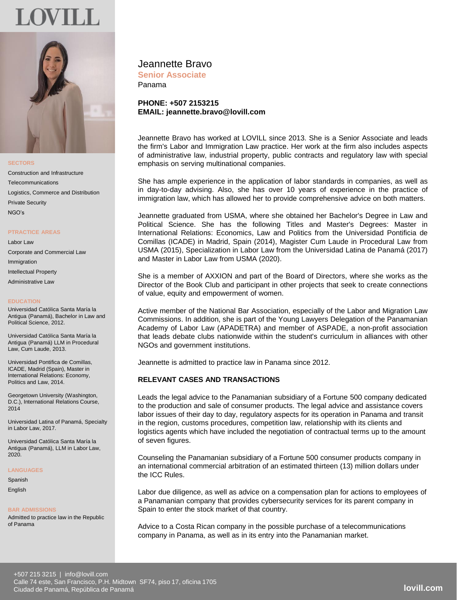# **OVILL**



**SECTORS**

Construction and Infrastructure Telecommunications Logistics, Commerce and Distribution Private Security NGO's

#### **PTRACTICE AREAS**

Labor Law Corporate and Commercial Law Immigration Intellectual Property Administrative Law

#### **EDUCATION**

Universidad Católica Santa María la Antigua (Panamá), Bachelor in Law and Political Science, 2012.

Universidad Católica Santa María la Antigua (Panamá) LLM in Procedural Law, Cum Laude, 2013.

Universidad Pontifica de Comillas, ICADE, Madrid (Spain), Master in International Relations: Economy, Politics and Law, 2014.

Georgetown University (Washington, D.C.), International Relations Course, 2014

Universidad Latina of Panamá, Specialty in Labor Law, 2017.

Universidad Católica Santa María la Antigua (Panamá), LLM in Labor Law, 2020.

## **LANGUAGES**

Spanish

English

#### **BAR ADMISSIONS**

Admitted to practice law in the Republic of Panama

# Jeannette Bravo

**Senior Associate** Panama

## **PHONE: +507 2153215 EMAIL: jeannette.bravo@lovill.com**

Jeannette Bravo has worked at LOVILL since 2013. She is a Senior Associate and leads the firm's Labor and Immigration Law practice. Her work at the firm also includes aspects of administrative law, industrial property, public contracts and regulatory law with special emphasis on serving multinational companies.

She has ample experience in the application of labor standards in companies, as well as in day-to-day advising. Also, she has over 10 years of experience in the practice of immigration law, which has allowed her to provide comprehensive advice on both matters.

Jeannette graduated from USMA, where she obtained her Bachelor's Degree in Law and Political Science. She has the following Titles and Master's Degrees: Master in International Relations: Economics, Law and Politics from the Universidad Pontificia de Comillas (ICADE) in Madrid, Spain (2014), Magister Cum Laude in Procedural Law from USMA (2015), Specialization in Labor Law from the Universidad Latina de Panamá (2017) and Master in Labor Law from USMA (2020).

She is a member of AXXION and part of the Board of Directors, where she works as the Director of the Book Club and participant in other projects that seek to create connections of value, equity and empowerment of women.

Active member of the National Bar Association, especially of the Labor and Migration Law Commissions. In addition, she is part of the Young Lawyers Delegation of the Panamanian Academy of Labor Law (APADETRA) and member of ASPADE, a non-profit association that leads debate clubs nationwide within the student's curriculum in alliances with other NGOs and government institutions.

Jeannette is admitted to practice law in Panama since 2012.

## **RELEVANT CASES AND TRANSACTIONS**

Leads the legal advice to the Panamanian subsidiary of a Fortune 500 company dedicated to the production and sale of consumer products. The legal advice and assistance covers labor issues of their day to day, regulatory aspects for its operation in Panama and transit in the region, customs procedures, competition law, relationship with its clients and logistics agents which have included the negotiation of contractual terms up to the amount of seven figures.

Counseling the Panamanian subsidiary of a Fortune 500 consumer products company in an international commercial arbitration of an estimated thirteen (13) million dollars under the ICC Rules.

Labor due diligence, as well as advice on a compensation plan for actions to employees of a Panamanian company that provides cybersecurity services for its parent company in Spain to enter the stock market of that country.

Advice to a Costa Rican company in the possible purchase of a telecommunications company in Panama, as well as in its entry into the Panamanian market.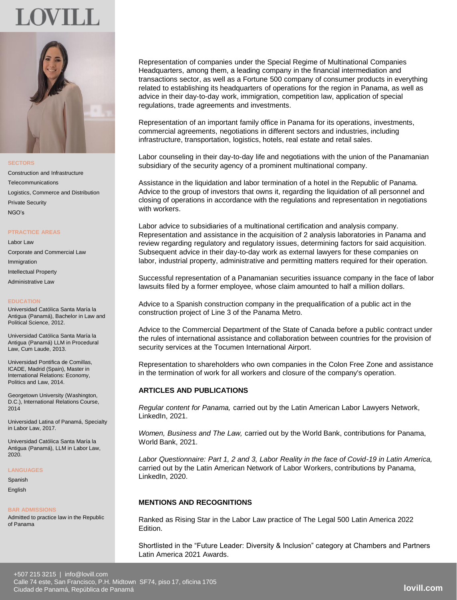



**SECTORS**

Construction and Infrastructure Telecommunications Logistics, Commerce and Distribution Private Security NGO's

#### **PTRACTICE AREAS**

Labor Law Corporate and Commercial Law Immigration Intellectual Property Administrative Law

#### **EDUCATION**

Universidad Católica Santa María la Antigua (Panamá), Bachelor in Law and Political Science, 2012.

Universidad Católica Santa María la Antigua (Panamá) LLM in Procedural Law, Cum Laude, 2013.

Universidad Pontifica de Comillas, ICADE, Madrid (Spain), Master in International Relations: Economy, Politics and Law, 2014.

Georgetown University (Washington, D.C.), International Relations Course, 2014

Universidad Latina of Panamá, Specialty in Labor Law, 2017.

Universidad Católica Santa María la Antigua (Panamá), LLM in Labor Law, 2020.

#### **LANGUAGES**

Spanish

English

#### **BAR ADMISSIONS**

Admitted to practice law in the Republic of Panama

Representation of companies under the Special Regime of Multinational Companies Headquarters, among them, a leading company in the financial intermediation and transactions sector, as well as a Fortune 500 company of consumer products in everything related to establishing its headquarters of operations for the region in Panama, as well as advice in their day-to-day work, immigration, competition law, application of special regulations, trade agreements and investments.

Representation of an important family office in Panama for its operations, investments, commercial agreements, negotiations in different sectors and industries, including infrastructure, transportation, logistics, hotels, real estate and retail sales.

Labor counseling in their day-to-day life and negotiations with the union of the Panamanian subsidiary of the security agency of a prominent multinational company.

Assistance in the liquidation and labor termination of a hotel in the Republic of Panama. Advice to the group of investors that owns it, regarding the liquidation of all personnel and closing of operations in accordance with the regulations and representation in negotiations with workers.

Labor advice to subsidiaries of a multinational certification and analysis company. Representation and assistance in the acquisition of 2 analysis laboratories in Panama and review regarding regulatory and regulatory issues, determining factors for said acquisition. Subsequent advice in their day-to-day work as external lawyers for these companies on labor, industrial property, administrative and permitting matters required for their operation.

Successful representation of a Panamanian securities issuance company in the face of labor lawsuits filed by a former employee, whose claim amounted to half a million dollars.

Advice to a Spanish construction company in the prequalification of a public act in the construction project of Line 3 of the Panama Metro.

Advice to the Commercial Department of the State of Canada before a public contract under the rules of international assistance and collaboration between countries for the provision of security services at the Tocumen International Airport.

Representation to shareholders who own companies in the Colon Free Zone and assistance in the termination of work for all workers and closure of the company's operation.

## **ARTICLES AND PUBLICATIONS**

*Regular content for Panama,* carried out by the Latin American Labor Lawyers Network, LinkedIn, 2021.

*Women, Business and The Law,* carried out by the World Bank, contributions for Panama, World Bank, 2021.

*Labor Questionnaire: Part 1, 2 and 3, Labor Reality in the face of Covid-19 in Latin America,*  carried out by the Latin American Network of Labor Workers, contributions by Panama, LinkedIn, 2020.

## **MENTIONS AND RECOGNITIONS**

Ranked as Rising Star in the Labor Law practice of The Legal 500 Latin America 2022 Edition.

Shortlisted in the "Future Leader: Diversity & Inclusion" category at Chambers and Partners Latin America 2021 Awards.